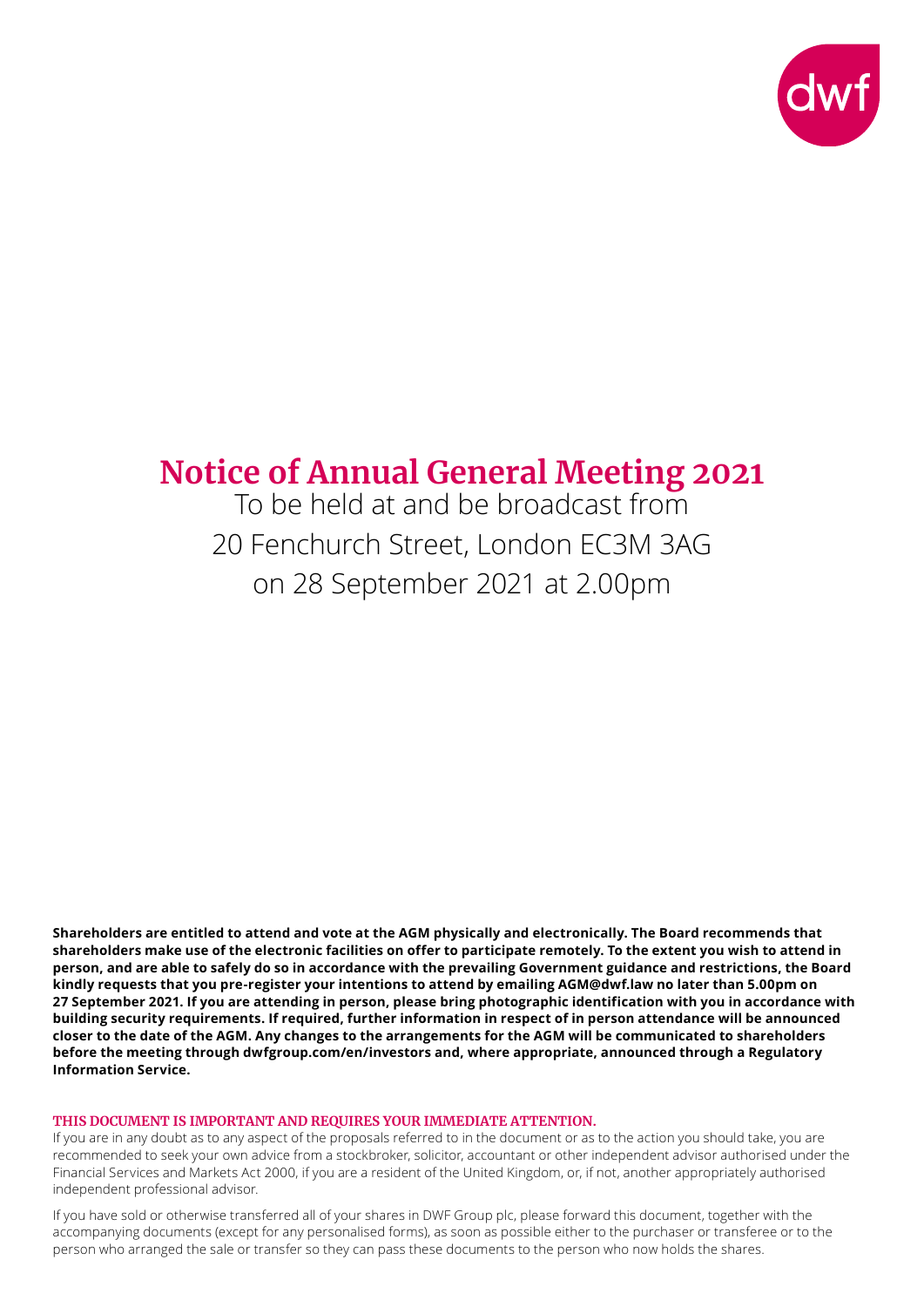

# **Notice of Annual General Meeting 2021**

To be held at and be broadcast from 20 Fenchurch Street, London EC3M 3AG on 28 September 2021 at 2.00pm

**Shareholders are entitled to attend and vote at the AGM physically and electronically. The Board recommends that shareholders make use of the electronic facilities on offer to participate remotely. To the extent you wish to attend in person, and are able to safely do so in accordance with the prevailing Government guidance and restrictions, the Board kindly requests that you pre-register your intentions to attend by emailing AGM@dwf.law no later than 5.00pm on 27 September 2021. If you are attending in person, please bring photographic identification with you in accordance with building security requirements. If required, further information in respect of in person attendance will be announced closer to the date of the AGM. Any changes to the arrangements for the AGM will be communicated to shareholders before the meeting through dwfgroup.com/en/investors and, where appropriate, announced through a Regulatory Information Service.**

#### **THIS DOCUMENT IS IMPORTANT AND REQUIRES YOUR IMMEDIATE ATTENTION.**

If you are in any doubt as to any aspect of the proposals referred to in the document or as to the action you should take, you are recommended to seek your own advice from a stockbroker, solicitor, accountant or other independent advisor authorised under the Financial Services and Markets Act 2000, if you are a resident of the United Kingdom, or, if not, another appropriately authorised independent professional advisor.

If you have sold or otherwise transferred all of your shares in DWF Group plc, please forward this document, together with the accompanying documents (except for any personalised forms), as soon as possible either to the purchaser or transferee or to the person who arranged the sale or transfer so they can pass these documents to the person who now holds the shares.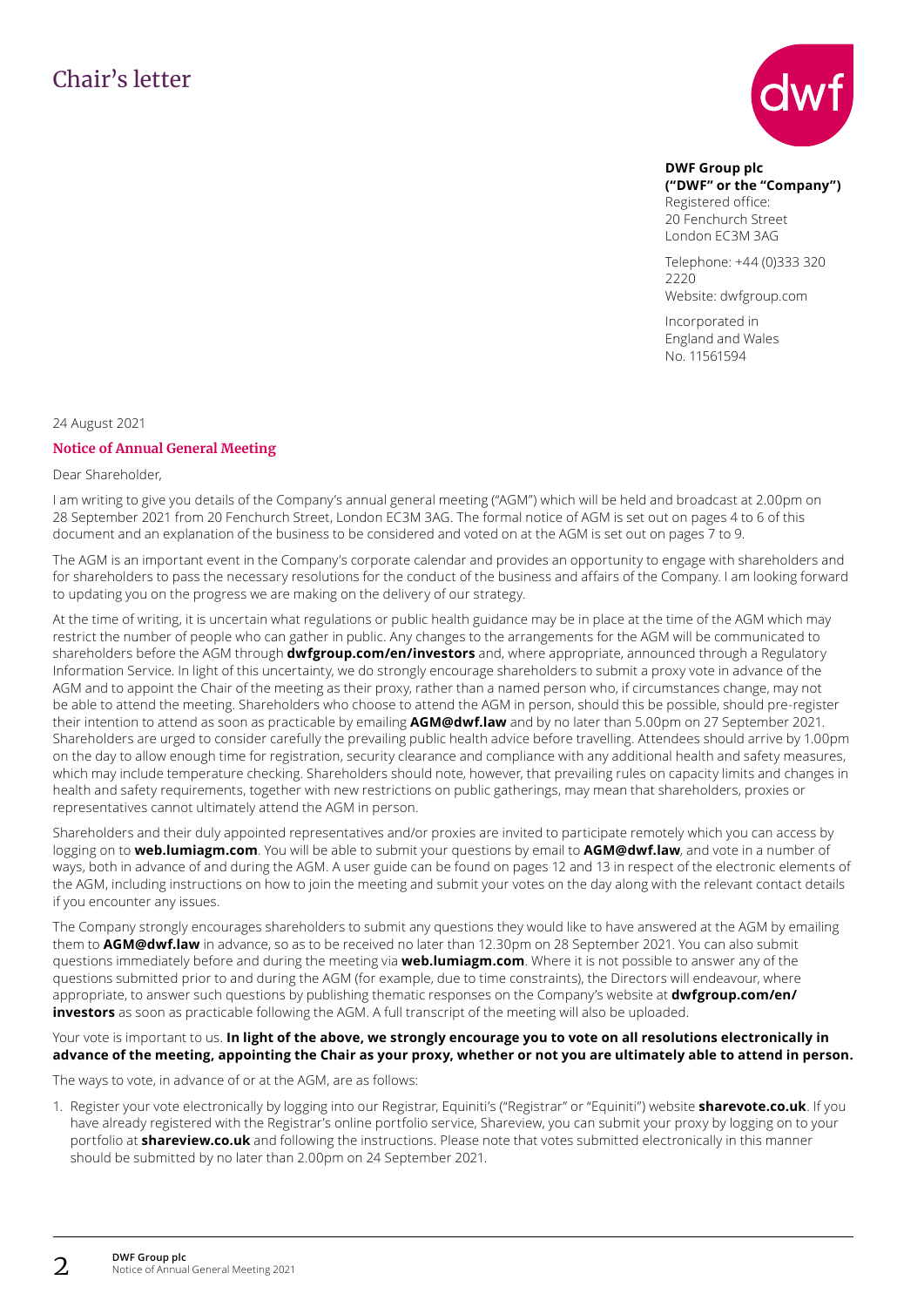# Chair's letter



#### **DWF Group plc ("DWF" or the "Company")**

Registered office: 20 Fenchurch Street London EC3M 3AG

Telephone: +44 (0)333 320 2220 Website: dwfgroup.com

Incorporated in England and Wales No. 11561594

24 August 2021

### **Notice of Annual General Meeting**

#### Dear Shareholder,

I am writing to give you details of the Company's annual general meeting ("AGM") which will be held and broadcast at 2.00pm on 28 September 2021 from 20 Fenchurch Street, London EC3M 3AG. The formal notice of AGM is set out on pages 4 to 6 of this document and an explanation of the business to be considered and voted on at the AGM is set out on pages 7 to 9.

The AGM is an important event in the Company's corporate calendar and provides an opportunity to engage with shareholders and for shareholders to pass the necessary resolutions for the conduct of the business and affairs of the Company. I am looking forward to updating you on the progress we are making on the delivery of our strategy.

At the time of writing, it is uncertain what regulations or public health guidance may be in place at the time of the AGM which may restrict the number of people who can gather in public. Any changes to the arrangements for the AGM will be communicated to shareholders before the AGM through **dwfgroup.com/en/investors** and, where appropriate, announced through a Regulatory Information Service. In light of this uncertainty, we do strongly encourage shareholders to submit a proxy vote in advance of the AGM and to appoint the Chair of the meeting as their proxy, rather than a named person who, if circumstances change, may not be able to attend the meeting. Shareholders who choose to attend the AGM in person, should this be possible, should pre-register their intention to attend as soon as practicable by emailing **AGM@dwf.law** and by no later than 5.00pm on 27 September 2021. Shareholders are urged to consider carefully the prevailing public health advice before travelling. Attendees should arrive by 1.00pm on the day to allow enough time for registration, security clearance and compliance with any additional health and safety measures, which may include temperature checking. Shareholders should note, however, that prevailing rules on capacity limits and changes in health and safety requirements, together with new restrictions on public gatherings, may mean that shareholders, proxies or representatives cannot ultimately attend the AGM in person.

Shareholders and their duly appointed representatives and/or proxies are invited to participate remotely which you can access by logging on to **web.lumiagm.com**. You will be able to submit your questions by email to **AGM@dwf.law**, and vote in a number of ways, both in advance of and during the AGM. A user guide can be found on pages 12 and 13 in respect of the electronic elements of the AGM, including instructions on how to join the meeting and submit your votes on the day along with the relevant contact details if you encounter any issues.

The Company strongly encourages shareholders to submit any questions they would like to have answered at the AGM by emailing them to **AGM@dwf.law** in advance, so as to be received no later than 12.30pm on 28 September 2021. You can also submit questions immediately before and during the meeting via **web.lumiagm.com**. Where it is not possible to answer any of the questions submitted prior to and during the AGM (for example, due to time constraints), the Directors will endeavour, where appropriate, to answer such questions by publishing thematic responses on the Company's website at **dwfgroup.com/en/ investors** as soon as practicable following the AGM. A full transcript of the meeting will also be uploaded.

#### Your vote is important to us. **In light of the above, we strongly encourage you to vote on all resolutions electronically in advance of the meeting, appointing the Chair as your proxy, whether or not you are ultimately able to attend in person.**

The ways to vote, in advance of or at the AGM, are as follows:

1. Register your vote electronically by logging into our Registrar, Equiniti's ("Registrar" or "Equiniti") website **sharevote.co.uk**. If you have already registered with the Registrar's online portfolio service, Shareview, you can submit your proxy by logging on to your portfolio at **shareview.co.uk** and following the instructions. Please note that votes submitted electronically in this manner should be submitted by no later than 2.00pm on 24 September 2021.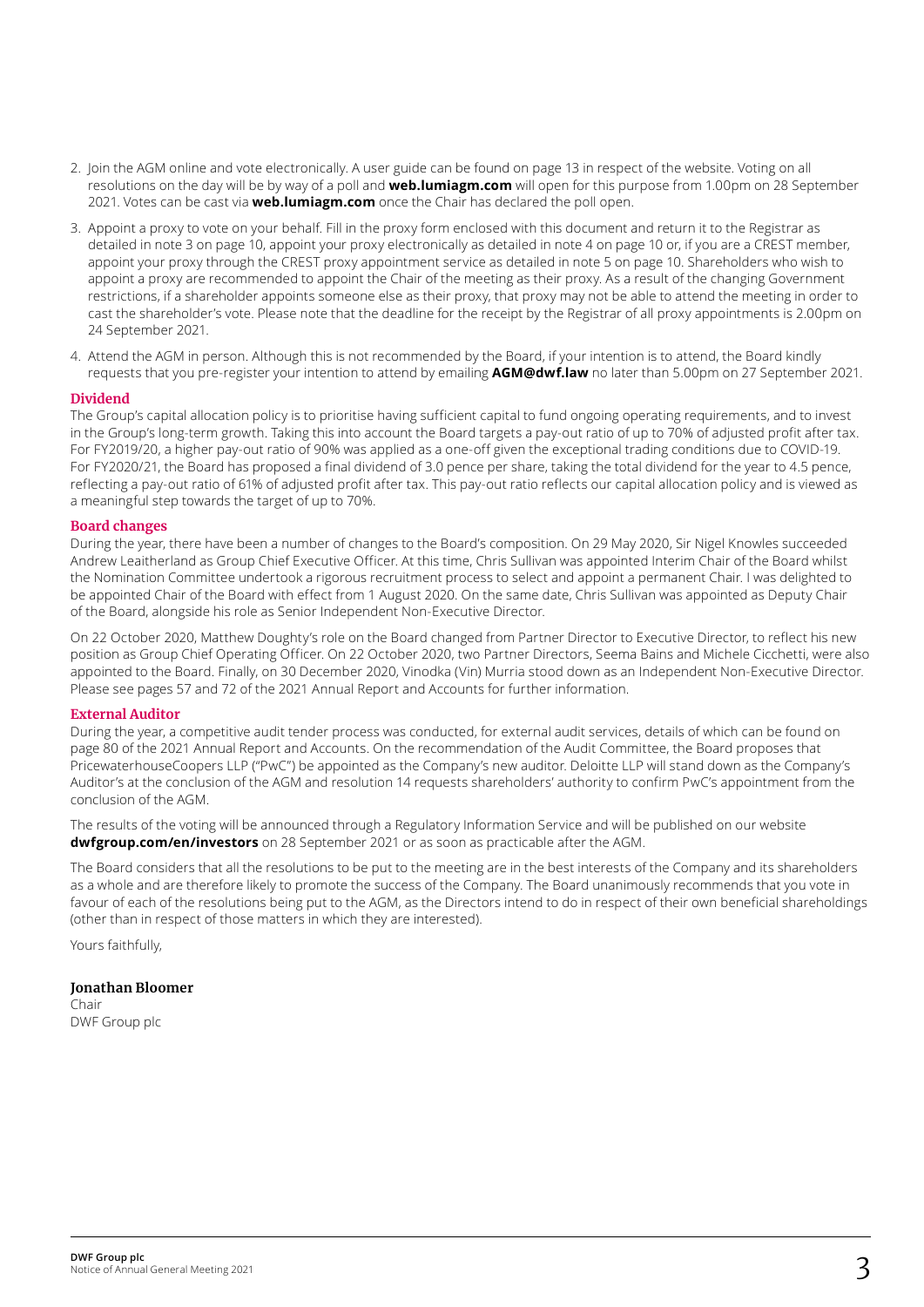- 2. Join the AGM online and vote electronically. A user guide can be found on page 13 in respect of the website. Voting on all resolutions on the day will be by way of a poll and **web.lumiagm.com** will open for this purpose from 1.00pm on 28 September 2021. Votes can be cast via **web.lumiagm.com** once the Chair has declared the poll open.
- 3. Appoint a proxy to vote on your behalf. Fill in the proxy form enclosed with this document and return it to the Registrar as detailed in note 3 on page 10, appoint your proxy electronically as detailed in note 4 on page 10 or, if you are a CREST member, appoint your proxy through the CREST proxy appointment service as detailed in note 5 on page 10. Shareholders who wish to appoint a proxy are recommended to appoint the Chair of the meeting as their proxy. As a result of the changing Government restrictions, if a shareholder appoints someone else as their proxy, that proxy may not be able to attend the meeting in order to cast the shareholder's vote. Please note that the deadline for the receipt by the Registrar of all proxy appointments is 2.00pm on 24 September 2021.
- 4. Attend the AGM in person. Although this is not recommended by the Board, if your intention is to attend, the Board kindly requests that you pre-register your intention to attend by emailing **AGM@dwf.law** no later than 5.00pm on 27 September 2021.

#### **Dividend**

The Group's capital allocation policy is to prioritise having sufficient capital to fund ongoing operating requirements, and to invest in the Group's long-term growth. Taking this into account the Board targets a pay-out ratio of up to 70% of adjusted profit after tax. For FY2019/20, a higher pay-out ratio of 90% was applied as a one-off given the exceptional trading conditions due to COVID-19. For FY2020/21, the Board has proposed a final dividend of 3.0 pence per share, taking the total dividend for the year to 4.5 pence, reflecting a pay-out ratio of 61% of adjusted profit after tax. This pay-out ratio reflects our capital allocation policy and is viewed as a meaningful step towards the target of up to 70%.

### **Board changes**

During the year, there have been a number of changes to the Board's composition. On 29 May 2020, Sir Nigel Knowles succeeded Andrew Leaitherland as Group Chief Executive Officer. At this time, Chris Sullivan was appointed Interim Chair of the Board whilst the Nomination Committee undertook a rigorous recruitment process to select and appoint a permanent Chair. I was delighted to be appointed Chair of the Board with effect from 1 August 2020. On the same date, Chris Sullivan was appointed as Deputy Chair of the Board, alongside his role as Senior Independent Non-Executive Director.

On 22 October 2020, Matthew Doughty's role on the Board changed from Partner Director to Executive Director, to reflect his new position as Group Chief Operating Officer. On 22 October 2020, two Partner Directors, Seema Bains and Michele Cicchetti, were also appointed to the Board. Finally, on 30 December 2020, Vinodka (Vin) Murria stood down as an Independent Non-Executive Director. Please see pages 57 and 72 of the 2021 Annual Report and Accounts for further information.

#### **External Auditor**

During the year, a competitive audit tender process was conducted, for external audit services, details of which can be found on page 80 of the 2021 Annual Report and Accounts. On the recommendation of the Audit Committee, the Board proposes that PricewaterhouseCoopers LLP ("PwC") be appointed as the Company's new auditor. Deloitte LLP will stand down as the Company's Auditor's at the conclusion of the AGM and resolution 14 requests shareholders' authority to confirm PwC's appointment from the conclusion of the AGM.

The results of the voting will be announced through a Regulatory Information Service and will be published on our website **dwfgroup.com/en/investors** on 28 September 2021 or as soon as practicable after the AGM.

The Board considers that all the resolutions to be put to the meeting are in the best interests of the Company and its shareholders as a whole and are therefore likely to promote the success of the Company. The Board unanimously recommends that you vote in favour of each of the resolutions being put to the AGM, as the Directors intend to do in respect of their own beneficial shareholdings (other than in respect of those matters in which they are interested).

Yours faithfully,

#### **Jonathan Bloomer**

Chair DWF Group plc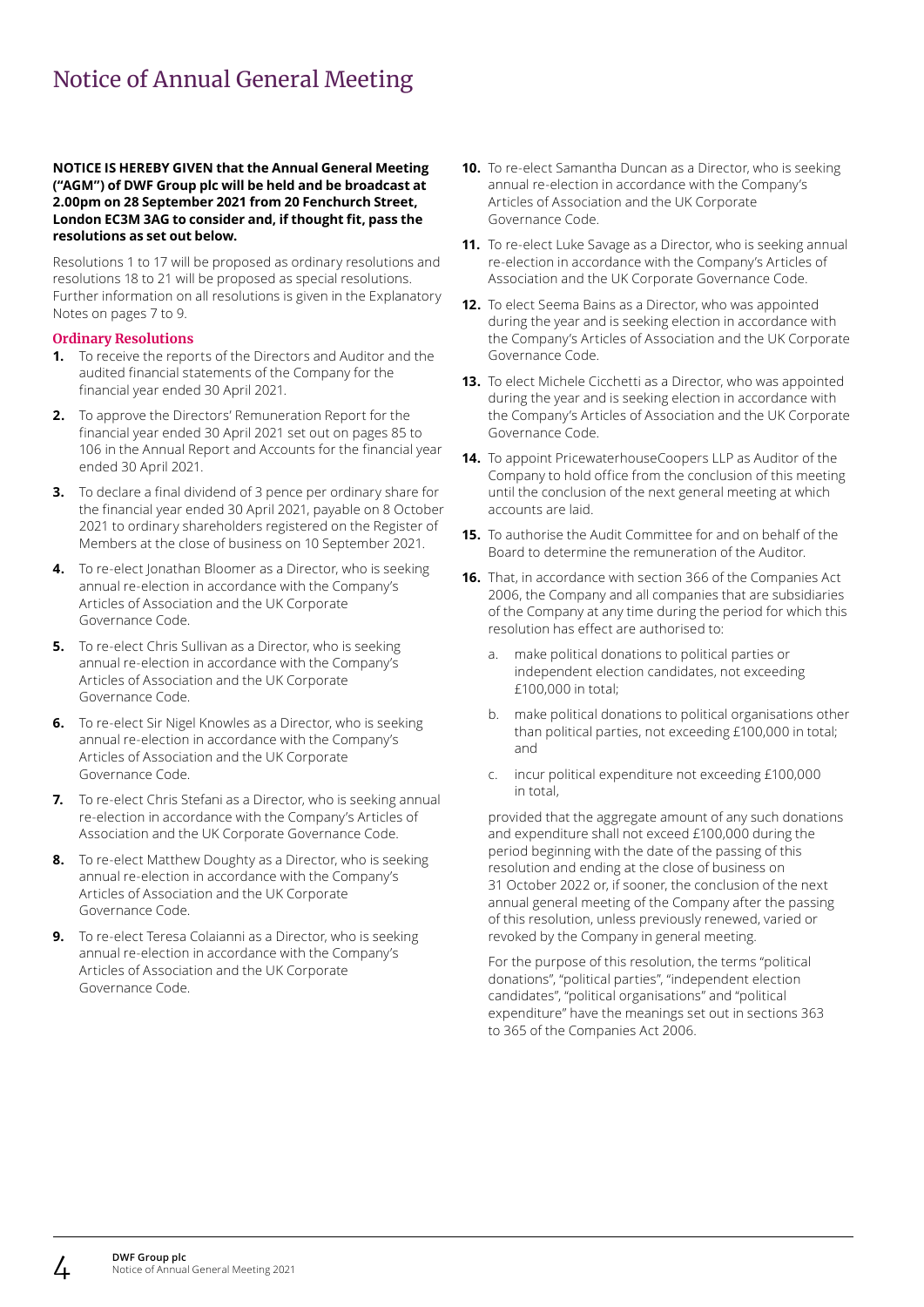**NOTICE IS HEREBY GIVEN that the Annual General Meeting ("AGM") of DWF Group plc will be held and be broadcast at 2.00pm on 28 September 2021 from 20 Fenchurch Street, London EC3M 3AG to consider and, if thought fit, pass the resolutions as set out below.**

Resolutions 1 to 17 will be proposed as ordinary resolutions and resolutions 18 to 21 will be proposed as special resolutions. Further information on all resolutions is given in the Explanatory Notes on pages 7 to 9.

### **Ordinary Resolutions**

- **1.** To receive the reports of the Directors and Auditor and the audited financial statements of the Company for the financial year ended 30 April 2021.
- **2.** To approve the Directors' Remuneration Report for the financial year ended 30 April 2021 set out on pages 85 to 106 in the Annual Report and Accounts for the financial year ended 30 April 2021.
- **3.** To declare a final dividend of 3 pence per ordinary share for the financial year ended 30 April 2021, payable on 8 October 2021 to ordinary shareholders registered on the Register of Members at the close of business on 10 September 2021.
- **4.** To re-elect Jonathan Bloomer as a Director, who is seeking annual re-election in accordance with the Company's Articles of Association and the UK Corporate Governance Code.
- **5.** To re-elect Chris Sullivan as a Director, who is seeking annual re-election in accordance with the Company's Articles of Association and the UK Corporate Governance Code.
- **6.** To re-elect Sir Nigel Knowles as a Director, who is seeking annual re-election in accordance with the Company's Articles of Association and the UK Corporate Governance Code.
- **7.** To re-elect Chris Stefani as a Director, who is seeking annual re-election in accordance with the Company's Articles of Association and the UK Corporate Governance Code.
- **8.** To re-elect Matthew Doughty as a Director, who is seeking annual re-election in accordance with the Company's Articles of Association and the UK Corporate Governance Code.
- **9.** To re-elect Teresa Colaianni as a Director, who is seeking annual re-election in accordance with the Company's Articles of Association and the UK Corporate Governance Code.
- **10.** To re-elect Samantha Duncan as a Director, who is seeking annual re-election in accordance with the Company's Articles of Association and the UK Corporate Governance Code.
- **11.** To re-elect Luke Savage as a Director, who is seeking annual re-election in accordance with the Company's Articles of Association and the UK Corporate Governance Code.
- **12.** To elect Seema Bains as a Director, who was appointed during the year and is seeking election in accordance with the Company's Articles of Association and the UK Corporate Governance Code.
- **13.** To elect Michele Cicchetti as a Director, who was appointed during the year and is seeking election in accordance with the Company's Articles of Association and the UK Corporate Governance Code.
- **14.** To appoint PricewaterhouseCoopers LLP as Auditor of the Company to hold office from the conclusion of this meeting until the conclusion of the next general meeting at which accounts are laid.
- **15.** To authorise the Audit Committee for and on behalf of the Board to determine the remuneration of the Auditor.
- **16.** That, in accordance with section 366 of the Companies Act 2006, the Company and all companies that are subsidiaries of the Company at any time during the period for which this resolution has effect are authorised to:
	- a. make political donations to political parties or independent election candidates, not exceeding £100,000 in total;
	- b. make political donations to political organisations other than political parties, not exceeding £100,000 in total; and
	- c. incur political expenditure not exceeding £100,000 in total,

provided that the aggregate amount of any such donations and expenditure shall not exceed £100,000 during the period beginning with the date of the passing of this resolution and ending at the close of business on 31 October 2022 or, if sooner, the conclusion of the next annual general meeting of the Company after the passing of this resolution, unless previously renewed, varied or revoked by the Company in general meeting.

For the purpose of this resolution, the terms "political donations", "political parties", "independent election candidates", "political organisations" and "political expenditure" have the meanings set out in sections 363 to 365 of the Companies Act 2006.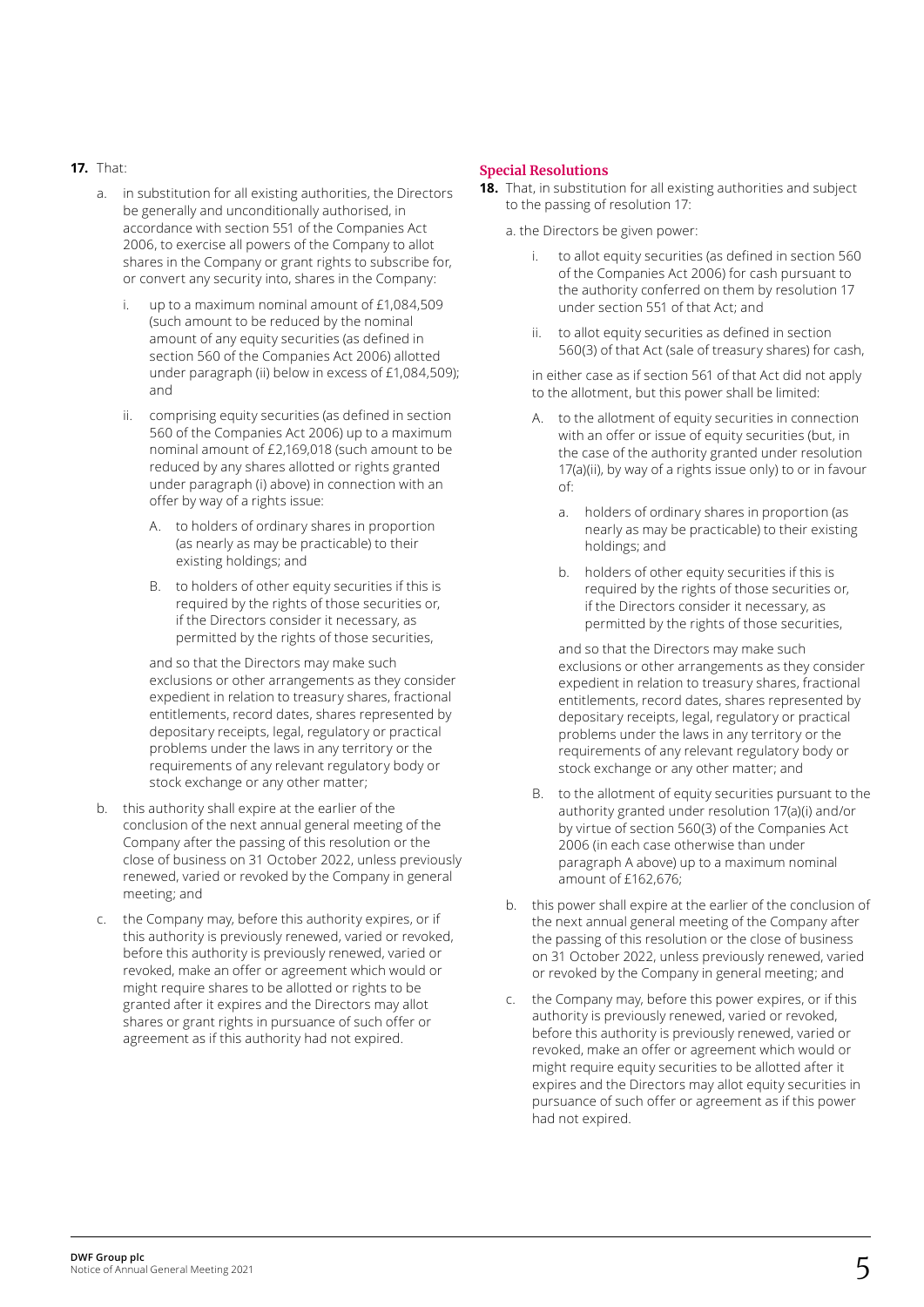### **17.** That:

- a. in substitution for all existing authorities, the Directors be generally and unconditionally authorised, in accordance with section 551 of the Companies Act 2006, to exercise all powers of the Company to allot shares in the Company or grant rights to subscribe for, or convert any security into, shares in the Company:
	- up to a maximum nominal amount of £1,084,509 (such amount to be reduced by the nominal amount of any equity securities (as defined in section 560 of the Companies Act 2006) allotted under paragraph (ii) below in excess of £1,084,509); and
	- ii. comprising equity securities (as defined in section 560 of the Companies Act 2006) up to a maximum nominal amount of £2,169,018 (such amount to be reduced by any shares allotted or rights granted under paragraph (i) above) in connection with an offer by way of a rights issue:
		- A. to holders of ordinary shares in proportion (as nearly as may be practicable) to their existing holdings; and
		- B. to holders of other equity securities if this is required by the rights of those securities or, if the Directors consider it necessary, as permitted by the rights of those securities,

and so that the Directors may make such exclusions or other arrangements as they consider expedient in relation to treasury shares, fractional entitlements, record dates, shares represented by depositary receipts, legal, regulatory or practical problems under the laws in any territory or the requirements of any relevant regulatory body or stock exchange or any other matter;

- b. this authority shall expire at the earlier of the conclusion of the next annual general meeting of the Company after the passing of this resolution or the close of business on 31 October 2022, unless previously renewed, varied or revoked by the Company in general meeting; and
- c. the Company may, before this authority expires, or if this authority is previously renewed, varied or revoked, before this authority is previously renewed, varied or revoked, make an offer or agreement which would or might require shares to be allotted or rights to be granted after it expires and the Directors may allot shares or grant rights in pursuance of such offer or agreement as if this authority had not expired.

### **Special Resolutions**

**18.** That, in substitution for all existing authorities and subject to the passing of resolution 17:

a. the Directors be given power:

- i. to allot equity securities (as defined in section 560 of the Companies Act 2006) for cash pursuant to the authority conferred on them by resolution 17 under section 551 of that Act; and
- ii. to allot equity securities as defined in section 560(3) of that Act (sale of treasury shares) for cash,

in either case as if section 561 of that Act did not apply to the allotment, but this power shall be limited:

- A. to the allotment of equity securities in connection with an offer or issue of equity securities (but, in the case of the authority granted under resolution 17(a)(ii), by way of a rights issue only) to or in favour of:
	- a. holders of ordinary shares in proportion (as nearly as may be practicable) to their existing holdings; and
	- b. holders of other equity securities if this is required by the rights of those securities or, if the Directors consider it necessary, as permitted by the rights of those securities,

and so that the Directors may make such exclusions or other arrangements as they consider expedient in relation to treasury shares, fractional entitlements, record dates, shares represented by depositary receipts, legal, regulatory or practical problems under the laws in any territory or the requirements of any relevant regulatory body or stock exchange or any other matter; and

- B. to the allotment of equity securities pursuant to the authority granted under resolution 17(a)(i) and/or by virtue of section 560(3) of the Companies Act 2006 (in each case otherwise than under paragraph A above) up to a maximum nominal amount of £162,676;
- b. this power shall expire at the earlier of the conclusion of the next annual general meeting of the Company after the passing of this resolution or the close of business on 31 October 2022, unless previously renewed, varied or revoked by the Company in general meeting; and
- c. the Company may, before this power expires, or if this authority is previously renewed, varied or revoked, before this authority is previously renewed, varied or revoked, make an offer or agreement which would or might require equity securities to be allotted after it expires and the Directors may allot equity securities in pursuance of such offer or agreement as if this power had not expired.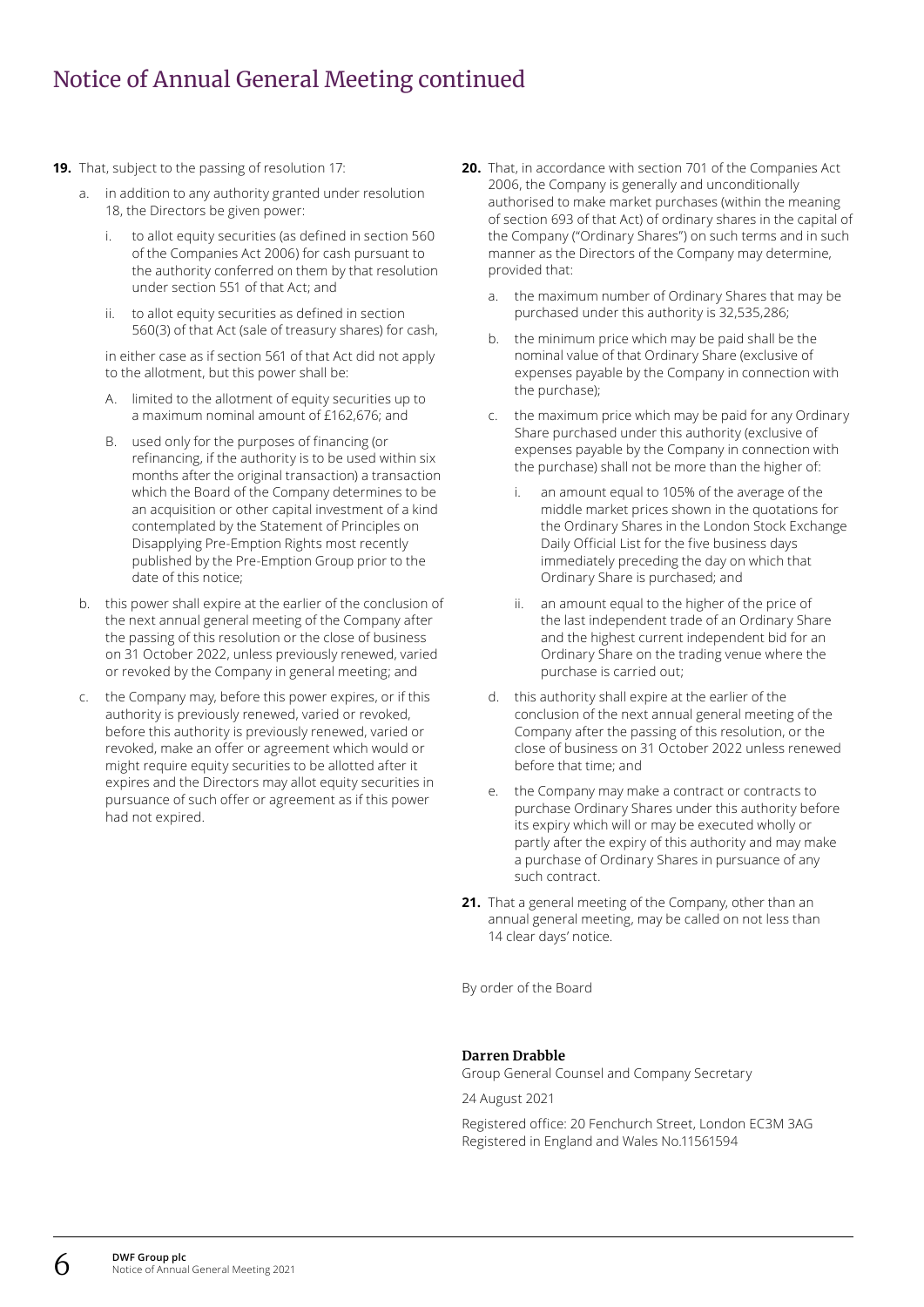# Notice of Annual General Meeting continued

- **19.** That, subject to the passing of resolution 17:
	- a. in addition to any authority granted under resolution 18, the Directors be given power:
		- i. to allot equity securities (as defined in section 560 of the Companies Act 2006) for cash pursuant to the authority conferred on them by that resolution under section 551 of that Act; and
		- ii. to allot equity securities as defined in section 560(3) of that Act (sale of treasury shares) for cash,

in either case as if section 561 of that Act did not apply to the allotment, but this power shall be:

- A. limited to the allotment of equity securities up to a maximum nominal amount of £162,676; and
- B. used only for the purposes of financing (or refinancing, if the authority is to be used within six months after the original transaction) a transaction which the Board of the Company determines to be an acquisition or other capital investment of a kind contemplated by the Statement of Principles on Disapplying Pre-Emption Rights most recently published by the Pre-Emption Group prior to the date of this notice;
- b. this power shall expire at the earlier of the conclusion of the next annual general meeting of the Company after the passing of this resolution or the close of business on 31 October 2022, unless previously renewed, varied or revoked by the Company in general meeting; and
- c. the Company may, before this power expires, or if this authority is previously renewed, varied or revoked, before this authority is previously renewed, varied or revoked, make an offer or agreement which would or might require equity securities to be allotted after it expires and the Directors may allot equity securities in pursuance of such offer or agreement as if this power had not expired.
- **20.** That, in accordance with section 701 of the Companies Act 2006, the Company is generally and unconditionally authorised to make market purchases (within the meaning of section 693 of that Act) of ordinary shares in the capital of the Company ("Ordinary Shares") on such terms and in such manner as the Directors of the Company may determine, provided that:
	- a. the maximum number of Ordinary Shares that may be purchased under this authority is 32,535,286;
	- b. the minimum price which may be paid shall be the nominal value of that Ordinary Share (exclusive of expenses payable by the Company in connection with the purchase);
	- c. the maximum price which may be paid for any Ordinary Share purchased under this authority (exclusive of expenses payable by the Company in connection with the purchase) shall not be more than the higher of:
		- i. an amount equal to 105% of the average of the middle market prices shown in the quotations for the Ordinary Shares in the London Stock Exchange Daily Official List for the five business days immediately preceding the day on which that Ordinary Share is purchased; and
		- ii. an amount equal to the higher of the price of the last independent trade of an Ordinary Share and the highest current independent bid for an Ordinary Share on the trading venue where the purchase is carried out;
	- d. this authority shall expire at the earlier of the conclusion of the next annual general meeting of the Company after the passing of this resolution, or the close of business on 31 October 2022 unless renewed before that time; and
	- e. the Company may make a contract or contracts to purchase Ordinary Shares under this authority before its expiry which will or may be executed wholly or partly after the expiry of this authority and may make a purchase of Ordinary Shares in pursuance of any such contract.
- **21.** That a general meeting of the Company, other than an annual general meeting, may be called on not less than 14 clear days' notice.

By order of the Board

## **Darren Drabble**

Group General Counsel and Company Secretary

24 August 2021

Registered office: 20 Fenchurch Street, London EC3M 3AG Registered in England and Wales No.11561594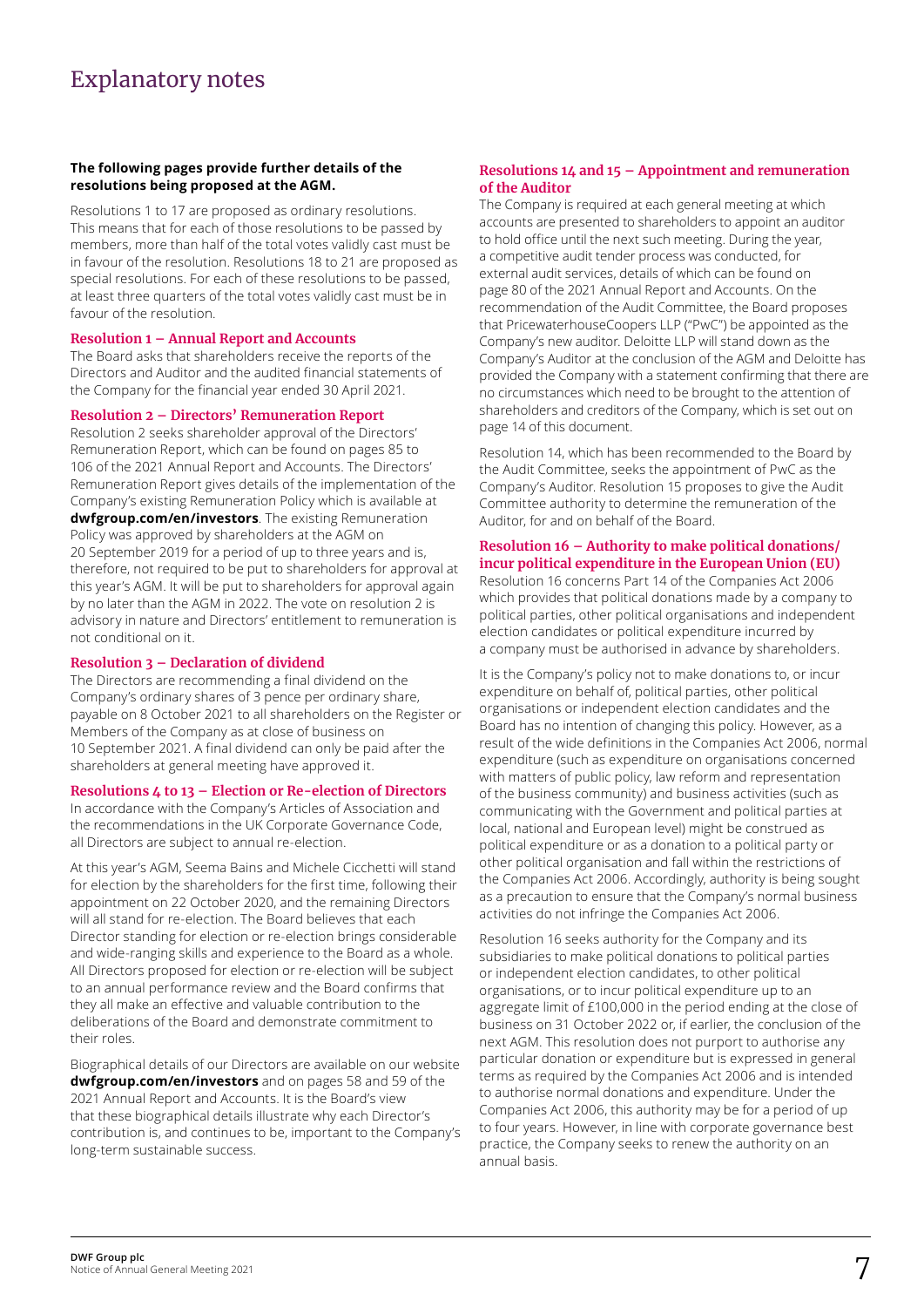#### **The following pages provide further details of the resolutions being proposed at the AGM.**

Resolutions 1 to 17 are proposed as ordinary resolutions. This means that for each of those resolutions to be passed by members, more than half of the total votes validly cast must be in favour of the resolution. Resolutions 18 to 21 are proposed as special resolutions. For each of these resolutions to be passed, at least three quarters of the total votes validly cast must be in favour of the resolution.

### **Resolution 1 – Annual Report and Accounts**

The Board asks that shareholders receive the reports of the Directors and Auditor and the audited financial statements of the Company for the financial year ended 30 April 2021.

# **Resolution 2 – Directors' Remuneration Report**

Resolution 2 seeks shareholder approval of the Directors' Remuneration Report, which can be found on pages 85 to 106 of the 2021 Annual Report and Accounts. The Directors' Remuneration Report gives details of the implementation of the Company's existing Remuneration Policy which is available at **dwfgroup.com/en/investors**. The existing Remuneration Policy was approved by shareholders at the AGM on 20 September 2019 for a period of up to three years and is, therefore, not required to be put to shareholders for approval at this year's AGM. It will be put to shareholders for approval again by no later than the AGM in 2022. The vote on resolution 2 is advisory in nature and Directors' entitlement to remuneration is not conditional on it.

### **Resolution 3 – Declaration of dividend**

The Directors are recommending a final dividend on the Company's ordinary shares of 3 pence per ordinary share, payable on 8 October 2021 to all shareholders on the Register or Members of the Company as at close of business on 10 September 2021. A final dividend can only be paid after the shareholders at general meeting have approved it.

#### **Resolutions 4 to 13 – Election or Re-election of Directors**

In accordance with the Company's Articles of Association and the recommendations in the UK Corporate Governance Code, all Directors are subject to annual re-election.

At this year's AGM, Seema Bains and Michele Cicchetti will stand for election by the shareholders for the first time, following their appointment on 22 October 2020, and the remaining Directors will all stand for re-election. The Board believes that each Director standing for election or re-election brings considerable and wide-ranging skills and experience to the Board as a whole. All Directors proposed for election or re-election will be subject to an annual performance review and the Board confirms that they all make an effective and valuable contribution to the deliberations of the Board and demonstrate commitment to their roles.

Biographical details of our Directors are available on our website **dwfgroup.com/en/investors** and on pages 58 and 59 of the 2021 Annual Report and Accounts. It is the Board's view that these biographical details illustrate why each Director's contribution is, and continues to be, important to the Company's long-term sustainable success.

#### **Resolutions 14 and 15 – Appointment and remuneration of the Auditor**

The Company is required at each general meeting at which accounts are presented to shareholders to appoint an auditor to hold office until the next such meeting. During the year, a competitive audit tender process was conducted, for external audit services, details of which can be found on page 80 of the 2021 Annual Report and Accounts. On the recommendation of the Audit Committee, the Board proposes that PricewaterhouseCoopers LLP ("PwC") be appointed as the Company's new auditor. Deloitte LLP will stand down as the Company's Auditor at the conclusion of the AGM and Deloitte has provided the Company with a statement confirming that there are no circumstances which need to be brought to the attention of shareholders and creditors of the Company, which is set out on page 14 of this document.

Resolution 14, which has been recommended to the Board by the Audit Committee, seeks the appointment of PwC as the Company's Auditor. Resolution 15 proposes to give the Audit Committee authority to determine the remuneration of the Auditor, for and on behalf of the Board.

#### **Resolution 16 – Authority to make political donations/ incur political expenditure in the European Union (EU)**

Resolution 16 concerns Part 14 of the Companies Act 2006 which provides that political donations made by a company to political parties, other political organisations and independent election candidates or political expenditure incurred by a company must be authorised in advance by shareholders.

It is the Company's policy not to make donations to, or incur expenditure on behalf of, political parties, other political organisations or independent election candidates and the Board has no intention of changing this policy. However, as a result of the wide definitions in the Companies Act 2006, normal expenditure (such as expenditure on organisations concerned with matters of public policy, law reform and representation of the business community) and business activities (such as communicating with the Government and political parties at local, national and European level) might be construed as political expenditure or as a donation to a political party or other political organisation and fall within the restrictions of the Companies Act 2006. Accordingly, authority is being sought as a precaution to ensure that the Company's normal business activities do not infringe the Companies Act 2006.

Resolution 16 seeks authority for the Company and its subsidiaries to make political donations to political parties or independent election candidates, to other political organisations, or to incur political expenditure up to an aggregate limit of £100,000 in the period ending at the close of business on 31 October 2022 or, if earlier, the conclusion of the next AGM. This resolution does not purport to authorise any particular donation or expenditure but is expressed in general terms as required by the Companies Act 2006 and is intended to authorise normal donations and expenditure. Under the Companies Act 2006, this authority may be for a period of up to four years. However, in line with corporate governance best practice, the Company seeks to renew the authority on an annual basis.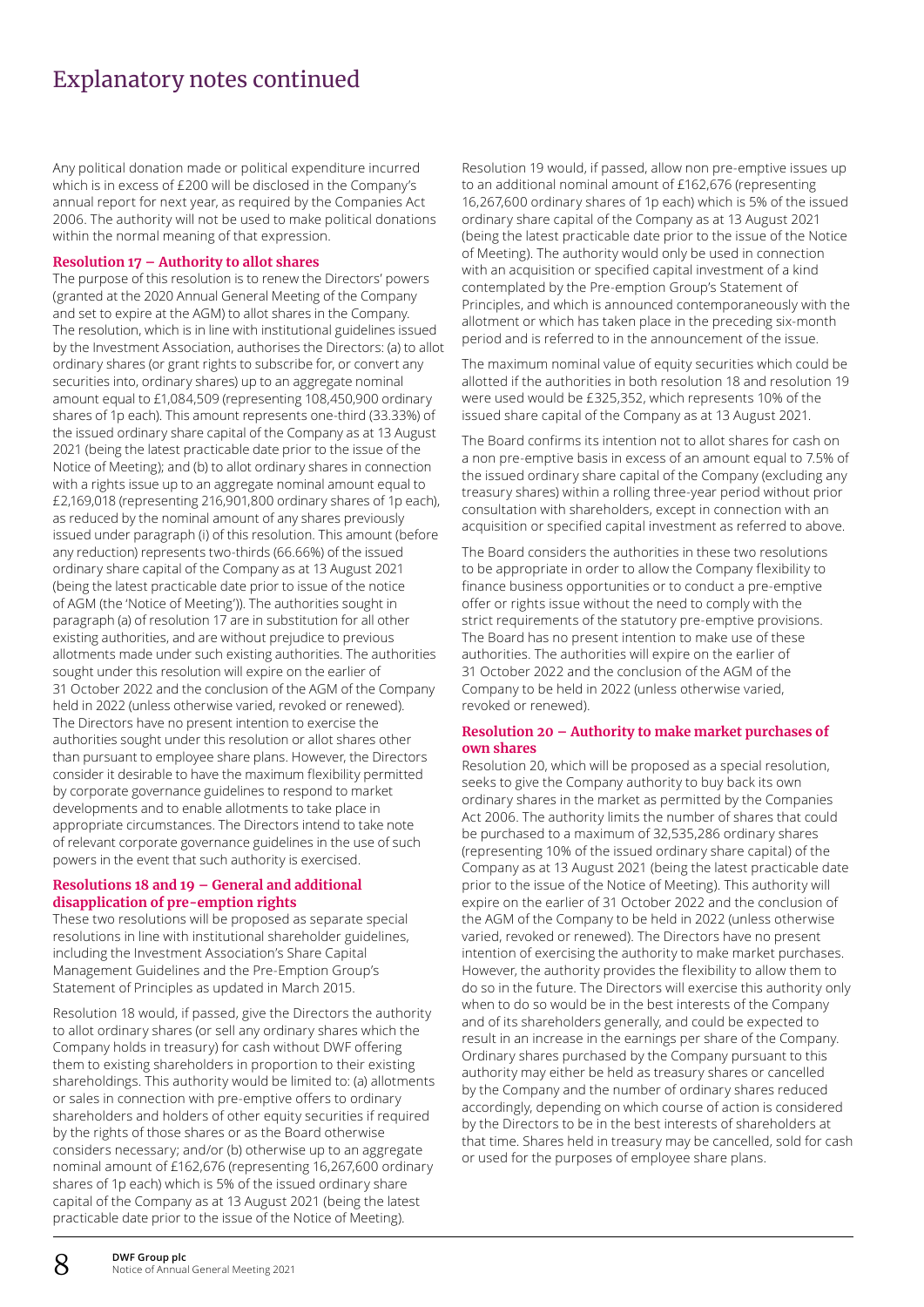# Explanatory notes continued

Any political donation made or political expenditure incurred which is in excess of £200 will be disclosed in the Company's annual report for next year, as required by the Companies Act 2006. The authority will not be used to make political donations within the normal meaning of that expression.

#### **Resolution 17 – Authority to allot shares**

The purpose of this resolution is to renew the Directors' powers (granted at the 2020 Annual General Meeting of the Company and set to expire at the AGM) to allot shares in the Company. The resolution, which is in line with institutional guidelines issued by the Investment Association, authorises the Directors: (a) to allot ordinary shares (or grant rights to subscribe for, or convert any securities into, ordinary shares) up to an aggregate nominal amount equal to £1,084,509 (representing 108,450,900 ordinary shares of 1p each). This amount represents one-third (33.33%) of the issued ordinary share capital of the Company as at 13 August 2021 (being the latest practicable date prior to the issue of the Notice of Meeting); and (b) to allot ordinary shares in connection with a rights issue up to an aggregate nominal amount equal to £2,169,018 (representing 216,901,800 ordinary shares of 1p each), as reduced by the nominal amount of any shares previously issued under paragraph (i) of this resolution. This amount (before any reduction) represents two-thirds (66.66%) of the issued ordinary share capital of the Company as at 13 August 2021 (being the latest practicable date prior to issue of the notice of AGM (the 'Notice of Meeting')). The authorities sought in paragraph (a) of resolution 17 are in substitution for all other existing authorities, and are without prejudice to previous allotments made under such existing authorities. The authorities sought under this resolution will expire on the earlier of 31 October 2022 and the conclusion of the AGM of the Company held in 2022 (unless otherwise varied, revoked or renewed). The Directors have no present intention to exercise the authorities sought under this resolution or allot shares other than pursuant to employee share plans. However, the Directors consider it desirable to have the maximum flexibility permitted by corporate governance guidelines to respond to market developments and to enable allotments to take place in appropriate circumstances. The Directors intend to take note of relevant corporate governance guidelines in the use of such powers in the event that such authority is exercised.

#### **Resolutions 18 and 19 – General and additional disapplication of pre-emption rights**

These two resolutions will be proposed as separate special resolutions in line with institutional shareholder guidelines, including the Investment Association's Share Capital Management Guidelines and the Pre-Emption Group's Statement of Principles as updated in March 2015.

Resolution 18 would, if passed, give the Directors the authority to allot ordinary shares (or sell any ordinary shares which the Company holds in treasury) for cash without DWF offering them to existing shareholders in proportion to their existing shareholdings. This authority would be limited to: (a) allotments or sales in connection with pre-emptive offers to ordinary shareholders and holders of other equity securities if required by the rights of those shares or as the Board otherwise considers necessary; and/or (b) otherwise up to an aggregate nominal amount of £162,676 (representing 16,267,600 ordinary shares of 1p each) which is 5% of the issued ordinary share capital of the Company as at 13 August 2021 (being the latest practicable date prior to the issue of the Notice of Meeting).

Resolution 19 would, if passed, allow non pre-emptive issues up to an additional nominal amount of £162,676 (representing 16,267,600 ordinary shares of 1p each) which is 5% of the issued ordinary share capital of the Company as at 13 August 2021 (being the latest practicable date prior to the issue of the Notice of Meeting). The authority would only be used in connection with an acquisition or specified capital investment of a kind contemplated by the Pre-emption Group's Statement of Principles, and which is announced contemporaneously with the allotment or which has taken place in the preceding six-month period and is referred to in the announcement of the issue.

The maximum nominal value of equity securities which could be allotted if the authorities in both resolution 18 and resolution 19 were used would be £325,352, which represents 10% of the issued share capital of the Company as at 13 August 2021.

The Board confirms its intention not to allot shares for cash on a non pre-emptive basis in excess of an amount equal to 7.5% of the issued ordinary share capital of the Company (excluding any treasury shares) within a rolling three-year period without prior consultation with shareholders, except in connection with an acquisition or specified capital investment as referred to above.

The Board considers the authorities in these two resolutions to be appropriate in order to allow the Company flexibility to finance business opportunities or to conduct a pre-emptive offer or rights issue without the need to comply with the strict requirements of the statutory pre-emptive provisions. The Board has no present intention to make use of these authorities. The authorities will expire on the earlier of 31 October 2022 and the conclusion of the AGM of the Company to be held in 2022 (unless otherwise varied, revoked or renewed).

#### **Resolution 20 – Authority to make market purchases of own shares**

Resolution 20, which will be proposed as a special resolution, seeks to give the Company authority to buy back its own ordinary shares in the market as permitted by the Companies Act 2006. The authority limits the number of shares that could be purchased to a maximum of 32,535,286 ordinary shares (representing 10% of the issued ordinary share capital) of the Company as at 13 August 2021 (being the latest practicable date prior to the issue of the Notice of Meeting). This authority will expire on the earlier of 31 October 2022 and the conclusion of the AGM of the Company to be held in 2022 (unless otherwise varied, revoked or renewed). The Directors have no present intention of exercising the authority to make market purchases. However, the authority provides the flexibility to allow them to do so in the future. The Directors will exercise this authority only when to do so would be in the best interests of the Company and of its shareholders generally, and could be expected to result in an increase in the earnings per share of the Company. Ordinary shares purchased by the Company pursuant to this authority may either be held as treasury shares or cancelled by the Company and the number of ordinary shares reduced accordingly, depending on which course of action is considered by the Directors to be in the best interests of shareholders at that time. Shares held in treasury may be cancelled, sold for cash or used for the purposes of employee share plans.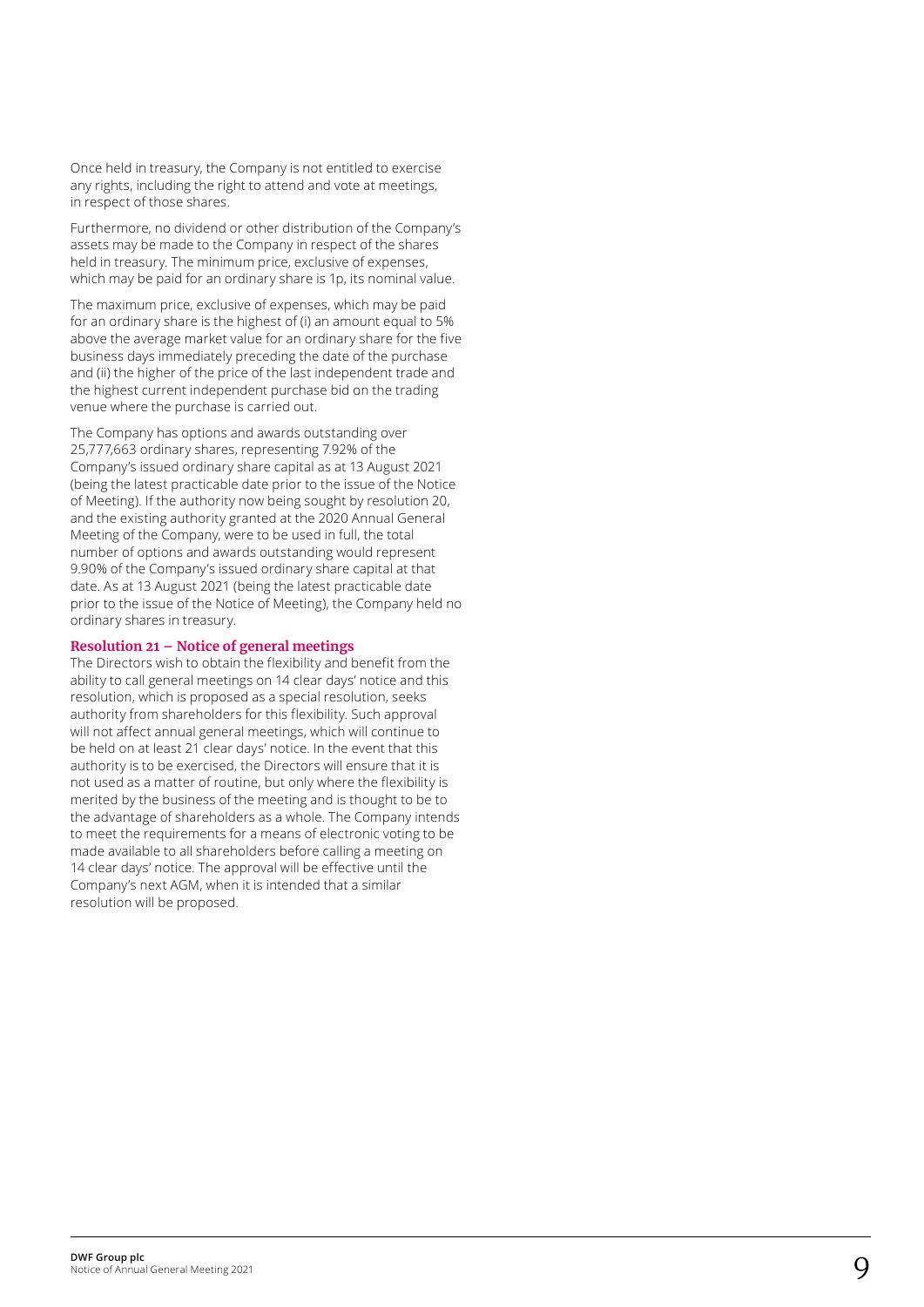Once held in treasury, the Company is not entitled to exercise any rights, including the right to attend and vote at meetings, in respect of those shares.

Furthermore, no dividend or other distribution of the Company's assets may be made to the Company in respect of the shares held in treasury. The minimum price, exclusive of expenses, which may be paid for an ordinary share is 1p, its nominal value.

The maximum price, exclusive of expenses, which may be paid for an ordinary share is the highest of (i) an amount equal to 5% above the average market value for an ordinary share for the five business days immediately preceding the date of the purchase and (ii) the higher of the price of the last independent trade and the highest current independent purchase bid on the trading venue where the purchase is carried out.

The Company has options and awards outstanding over 25,777,663 ordinary shares, representing 7.92% of the Company's issued ordinary share capital as at 13 August 2021 (being the latest practicable date prior to the issue of the Notice of Meeting). If the authority now being sought by resolution 20, and the existing authority granted at the 2020 Annual General Meeting of the Company, were to be used in full, the total number of options and awards outstanding would represent 9.90% of the Company's issued ordinary share capital at that date. As at 13 August 2021 (being the latest practicable date prior to the issue of the Notice of Meeting), the Company held no ordinary shares in treasury.

#### **Resolution 21 – Notice of general meetings**

The Directors wish to obtain the flexibility and benefit from the ability to call general meetings on 14 clear days' notice and this resolution, which is proposed as a special resolution, seeks authority from shareholders for this flexibility. Such approval will not affect annual general meetings, which will continue to be held on at least 21 clear days' notice. In the event that this authority is to be exercised, the Directors will ensure that it is not used as a matter of routine, but only where the flexibility is merited by the business of the meeting and is thought to be to the advantage of shareholders as a whole. The Company intends to meet the requirements for a means of electronic voting to be made available to all shareholders before calling a meeting on 14 clear days' notice. The approval will be effective until the Company's next AGM, when it is intended that a similar resolution will be proposed.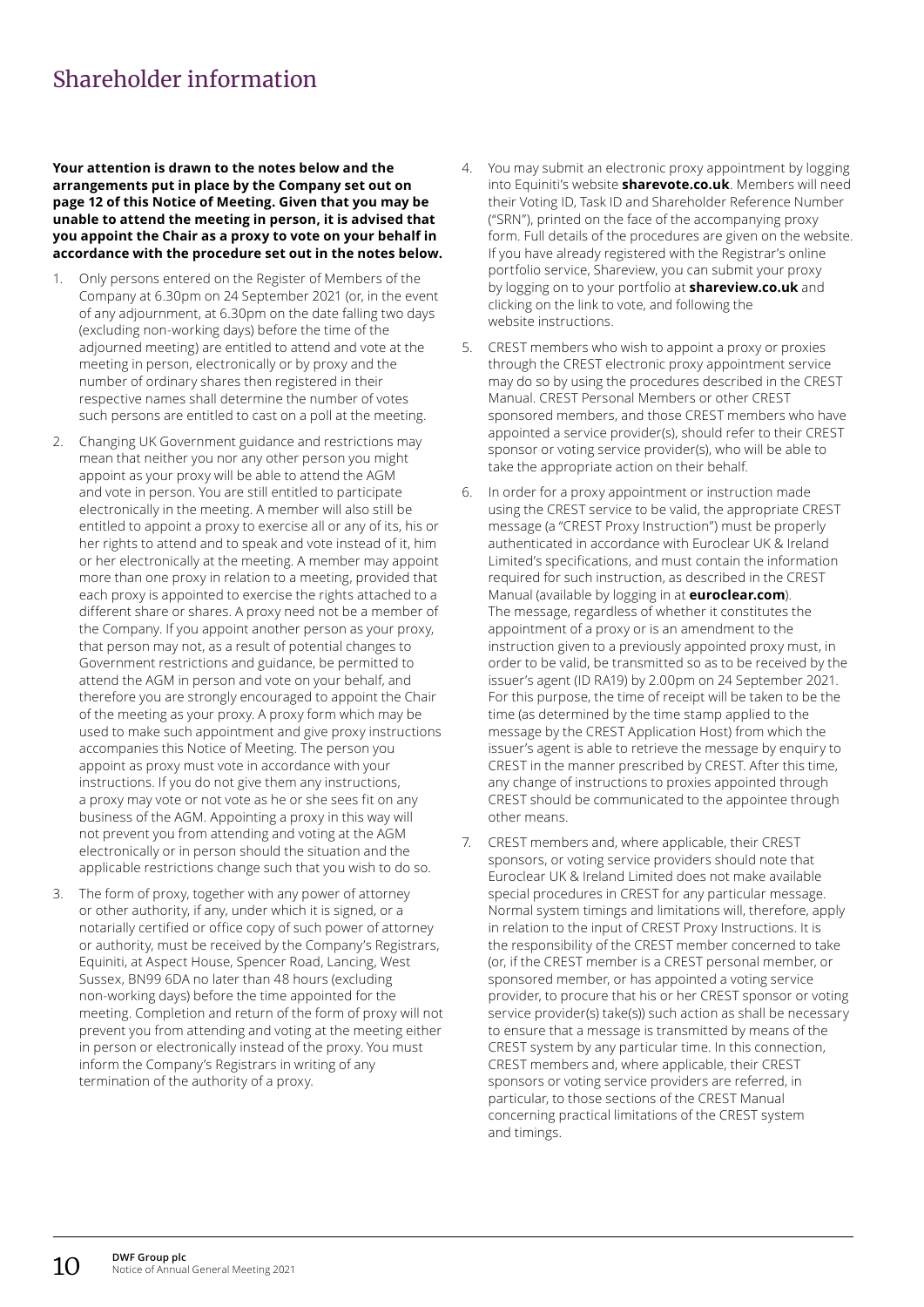# Shareholder information

**Your attention is drawn to the notes below and the arrangements put in place by the Company set out on page 12 of this Notice of Meeting. Given that you may be unable to attend the meeting in person, it is advised that you appoint the Chair as a proxy to vote on your behalf in accordance with the procedure set out in the notes below.**

- 1. Only persons entered on the Register of Members of the Company at 6.30pm on 24 September 2021 (or, in the event of any adjournment, at 6.30pm on the date falling two days (excluding non-working days) before the time of the adjourned meeting) are entitled to attend and vote at the meeting in person, electronically or by proxy and the number of ordinary shares then registered in their respective names shall determine the number of votes such persons are entitled to cast on a poll at the meeting.
- 2. Changing UK Government guidance and restrictions may mean that neither you nor any other person you might appoint as your proxy will be able to attend the AGM and vote in person. You are still entitled to participate electronically in the meeting. A member will also still be entitled to appoint a proxy to exercise all or any of its, his or her rights to attend and to speak and vote instead of it, him or her electronically at the meeting. A member may appoint more than one proxy in relation to a meeting, provided that each proxy is appointed to exercise the rights attached to a different share or shares. A proxy need not be a member of the Company. If you appoint another person as your proxy, that person may not, as a result of potential changes to Government restrictions and guidance, be permitted to attend the AGM in person and vote on your behalf, and therefore you are strongly encouraged to appoint the Chair of the meeting as your proxy. A proxy form which may be used to make such appointment and give proxy instructions accompanies this Notice of Meeting. The person you appoint as proxy must vote in accordance with your instructions. If you do not give them any instructions, a proxy may vote or not vote as he or she sees fit on any business of the AGM. Appointing a proxy in this way will not prevent you from attending and voting at the AGM electronically or in person should the situation and the applicable restrictions change such that you wish to do so.
- 3. The form of proxy, together with any power of attorney or other authority, if any, under which it is signed, or a notarially certified or office copy of such power of attorney or authority, must be received by the Company's Registrars, Equiniti, at Aspect House, Spencer Road, Lancing, West Sussex, BN99 6DA no later than 48 hours (excluding non-working days) before the time appointed for the meeting. Completion and return of the form of proxy will not prevent you from attending and voting at the meeting either in person or electronically instead of the proxy. You must inform the Company's Registrars in writing of any termination of the authority of a proxy.
- 4. You may submit an electronic proxy appointment by logging into Equiniti's website **sharevote.co.uk**. Members will need their Voting ID, Task ID and Shareholder Reference Number ("SRN"), printed on the face of the accompanying proxy form. Full details of the procedures are given on the website. If you have already registered with the Registrar's online portfolio service, Shareview, you can submit your proxy by logging on to your portfolio at **shareview.co.uk** and clicking on the link to vote, and following the website instructions.
- 5. CREST members who wish to appoint a proxy or proxies through the CREST electronic proxy appointment service may do so by using the procedures described in the CREST Manual. CREST Personal Members or other CREST sponsored members, and those CREST members who have appointed a service provider(s), should refer to their CREST sponsor or voting service provider(s), who will be able to take the appropriate action on their behalf.
- 6. In order for a proxy appointment or instruction made using the CREST service to be valid, the appropriate CREST message (a "CREST Proxy Instruction") must be properly authenticated in accordance with Euroclear UK & Ireland Limited's specifications, and must contain the information required for such instruction, as described in the CREST Manual (available by logging in at **euroclear.com**). The message, regardless of whether it constitutes the appointment of a proxy or is an amendment to the instruction given to a previously appointed proxy must, in order to be valid, be transmitted so as to be received by the issuer's agent (ID RA19) by 2.00pm on 24 September 2021. For this purpose, the time of receipt will be taken to be the time (as determined by the time stamp applied to the message by the CREST Application Host) from which the issuer's agent is able to retrieve the message by enquiry to CREST in the manner prescribed by CREST. After this time, any change of instructions to proxies appointed through CREST should be communicated to the appointee through other means.
- 7. CREST members and, where applicable, their CREST sponsors, or voting service providers should note that Euroclear UK & Ireland Limited does not make available special procedures in CREST for any particular message. Normal system timings and limitations will, therefore, apply in relation to the input of CREST Proxy Instructions. It is the responsibility of the CREST member concerned to take (or, if the CREST member is a CREST personal member, or sponsored member, or has appointed a voting service provider, to procure that his or her CREST sponsor or voting service provider(s) take(s)) such action as shall be necessary to ensure that a message is transmitted by means of the CREST system by any particular time. In this connection, CREST members and, where applicable, their CREST sponsors or voting service providers are referred, in particular, to those sections of the CREST Manual concerning practical limitations of the CREST system and timings.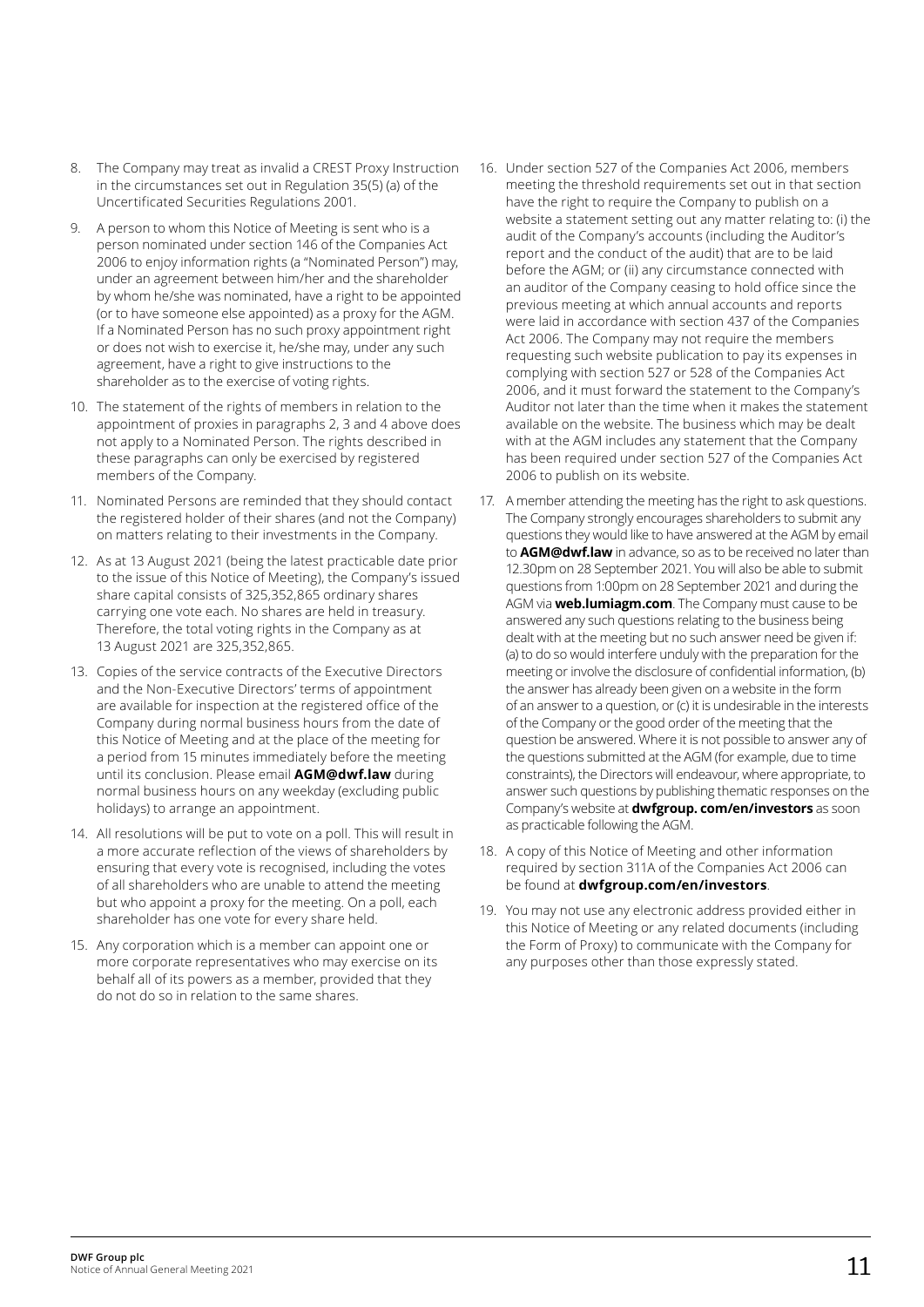- 8. The Company may treat as invalid a CREST Proxy Instruction in the circumstances set out in Regulation 35(5) (a) of the Uncertificated Securities Regulations 2001.
- 9. A person to whom this Notice of Meeting is sent who is a person nominated under section 146 of the Companies Act 2006 to enjoy information rights (a "Nominated Person") may, under an agreement between him/her and the shareholder by whom he/she was nominated, have a right to be appointed (or to have someone else appointed) as a proxy for the AGM. If a Nominated Person has no such proxy appointment right or does not wish to exercise it, he/she may, under any such agreement, have a right to give instructions to the shareholder as to the exercise of voting rights.
- 10. The statement of the rights of members in relation to the appointment of proxies in paragraphs 2, 3 and 4 above does not apply to a Nominated Person. The rights described in these paragraphs can only be exercised by registered members of the Company.
- 11. Nominated Persons are reminded that they should contact the registered holder of their shares (and not the Company) on matters relating to their investments in the Company.
- 12. As at 13 August 2021 (being the latest practicable date prior to the issue of this Notice of Meeting), the Company's issued share capital consists of 325,352,865 ordinary shares carrying one vote each. No shares are held in treasury. Therefore, the total voting rights in the Company as at 13 August 2021 are 325,352,865.
- 13. Copies of the service contracts of the Executive Directors and the Non-Executive Directors' terms of appointment are available for inspection at the registered office of the Company during normal business hours from the date of this Notice of Meeting and at the place of the meeting for a period from 15 minutes immediately before the meeting until its conclusion. Please email **AGM@dwf.law** during normal business hours on any weekday (excluding public holidays) to arrange an appointment.
- 14. All resolutions will be put to vote on a poll. This will result in a more accurate reflection of the views of shareholders by ensuring that every vote is recognised, including the votes of all shareholders who are unable to attend the meeting but who appoint a proxy for the meeting. On a poll, each shareholder has one vote for every share held.
- 15. Any corporation which is a member can appoint one or more corporate representatives who may exercise on its behalf all of its powers as a member, provided that they do not do so in relation to the same shares.
- 16. Under section 527 of the Companies Act 2006, members meeting the threshold requirements set out in that section have the right to require the Company to publish on a website a statement setting out any matter relating to: (i) the audit of the Company's accounts (including the Auditor's report and the conduct of the audit) that are to be laid before the AGM; or (ii) any circumstance connected with an auditor of the Company ceasing to hold office since the previous meeting at which annual accounts and reports were laid in accordance with section 437 of the Companies Act 2006. The Company may not require the members requesting such website publication to pay its expenses in complying with section 527 or 528 of the Companies Act 2006, and it must forward the statement to the Company's Auditor not later than the time when it makes the statement available on the website. The business which may be dealt with at the AGM includes any statement that the Company has been required under section 527 of the Companies Act 2006 to publish on its website.
- 17. A member attending the meeting has the right to ask questions. The Company strongly encourages shareholders to submit any questions they would like to have answered at the AGM by email to **AGM@dwf.law** in advance, so as to be received no later than 12.30pm on 28 September 2021. You will also be able to submit questions from 1:00pm on 28 September 2021 and during the AGM via **web.lumiagm.com**. The Company must cause to be answered any such questions relating to the business being dealt with at the meeting but no such answer need be given if: (a) to do so would interfere unduly with the preparation for the meeting or involve the disclosure of confidential information, (b) the answer has already been given on a website in the form of an answer to a question, or (c) it is undesirable in the interests of the Company or the good order of the meeting that the question be answered. Where it is not possible to answer any of the questions submitted at the AGM (for example, due to time constraints), the Directors will endeavour, where appropriate, to answer such questions by publishing thematic responses on the Company's website at **dwfgroup. com/en/investors** as soon as practicable following the AGM.
- 18. A copy of this Notice of Meeting and other information required by section 311A of the Companies Act 2006 can be found at **dwfgroup.com/en/investors**.
- 19. You may not use any electronic address provided either in this Notice of Meeting or any related documents (including the Form of Proxy) to communicate with the Company for any purposes other than those expressly stated.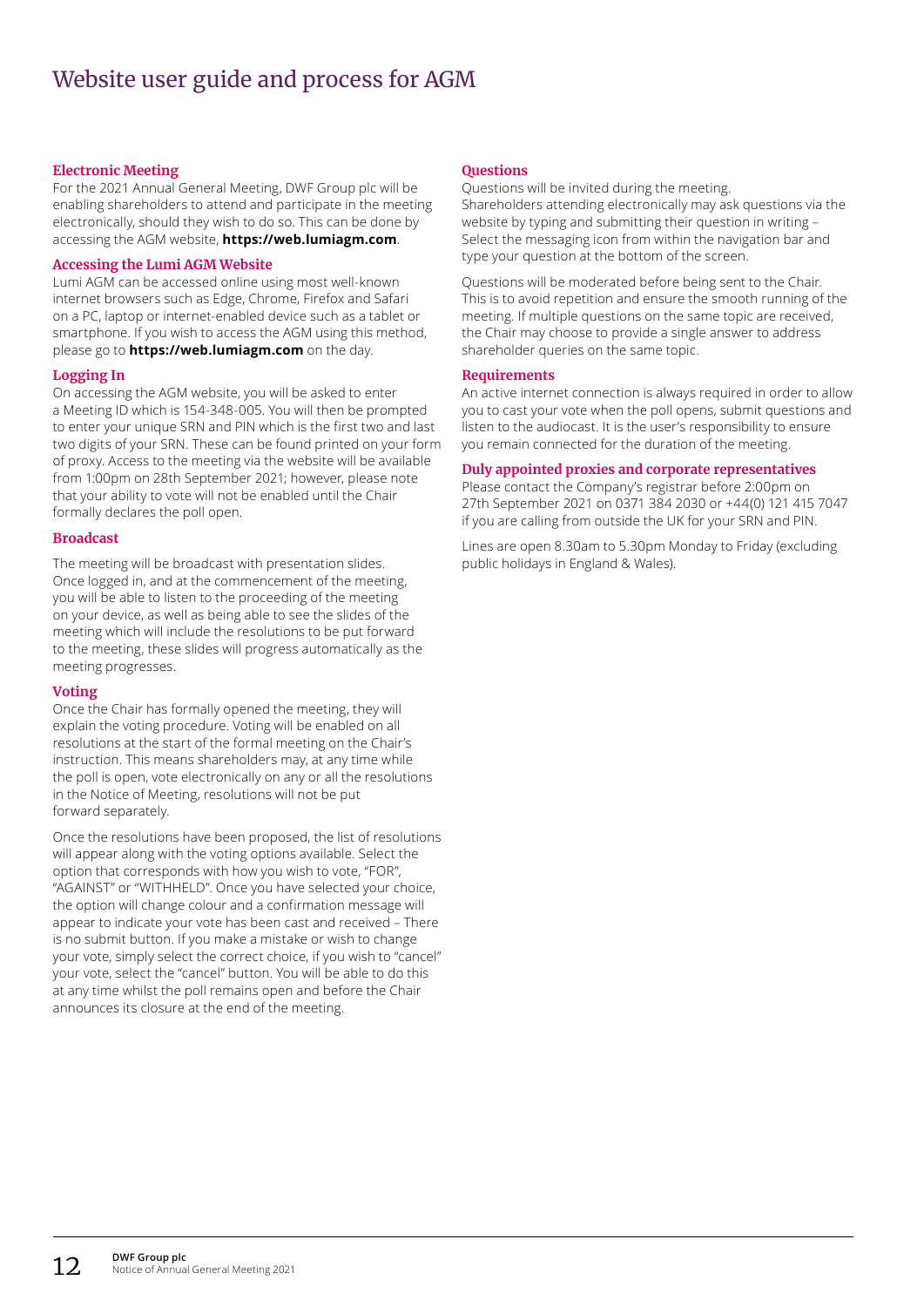#### **Electronic Meeting**

For the 2021 Annual General Meeting, DWF Group plc will be enabling shareholders to attend and participate in the meeting electronically, should they wish to do so. This can be done by accessing the AGM website, **https://web.lumiagm.com**.

#### **Accessing the Lumi AGM Website**

Lumi AGM can be accessed online using most well-known internet browsers such as Edge, Chrome, Firefox and Safari on a PC, laptop or internet-enabled device such as a tablet or smartphone. If you wish to access the AGM using this method, please go to **https://web.lumiagm.com** on the day.

#### **Logging In**

On accessing the AGM website, you will be asked to enter a Meeting ID which is 154-348-005. You will then be prompted to enter your unique SRN and PIN which is the first two and last two digits of your SRN. These can be found printed on your form of proxy. Access to the meeting via the website will be available from 1:00pm on 28th September 2021; however, please note that your ability to vote will not be enabled until the Chair formally declares the poll open.

### **Broadcast**

The meeting will be broadcast with presentation slides. Once logged in, and at the commencement of the meeting, you will be able to listen to the proceeding of the meeting on your device, as well as being able to see the slides of the meeting which will include the resolutions to be put forward to the meeting, these slides will progress automatically as the meeting progresses.

## **Voting**

Once the Chair has formally opened the meeting, they will explain the voting procedure. Voting will be enabled on all resolutions at the start of the formal meeting on the Chair's instruction. This means shareholders may, at any time while the poll is open, vote electronically on any or all the resolutions in the Notice of Meeting, resolutions will not be put forward separately.

Once the resolutions have been proposed, the list of resolutions will appear along with the voting options available. Select the option that corresponds with how you wish to vote, "FOR", "AGAINST" or "WITHHELD". Once you have selected your choice, the option will change colour and a confirmation message will appear to indicate your vote has been cast and received – There is no submit button. If you make a mistake or wish to change your vote, simply select the correct choice, if you wish to "cancel" your vote, select the "cancel" button. You will be able to do this at any time whilst the poll remains open and before the Chair announces its closure at the end of the meeting.

#### **Questions**

Questions will be invited during the meeting. Shareholders attending electronically may ask questions via the website by typing and submitting their question in writing – Select the messaging icon from within the navigation bar and type your question at the bottom of the screen.

Questions will be moderated before being sent to the Chair. This is to avoid repetition and ensure the smooth running of the meeting. If multiple questions on the same topic are received, the Chair may choose to provide a single answer to address shareholder queries on the same topic.

#### **Requirements**

An active internet connection is always required in order to allow you to cast your vote when the poll opens, submit questions and listen to the audiocast. It is the user's responsibility to ensure you remain connected for the duration of the meeting.

### **Duly appointed proxies and corporate representatives**

Please contact the Company's registrar before 2:00pm on 27th September 2021 on 0371 384 2030 or +44(0) 121 415 7047 if you are calling from outside the UK for your SRN and PIN.

Lines are open 8.30am to 5.30pm Monday to Friday (excluding public holidays in England & Wales).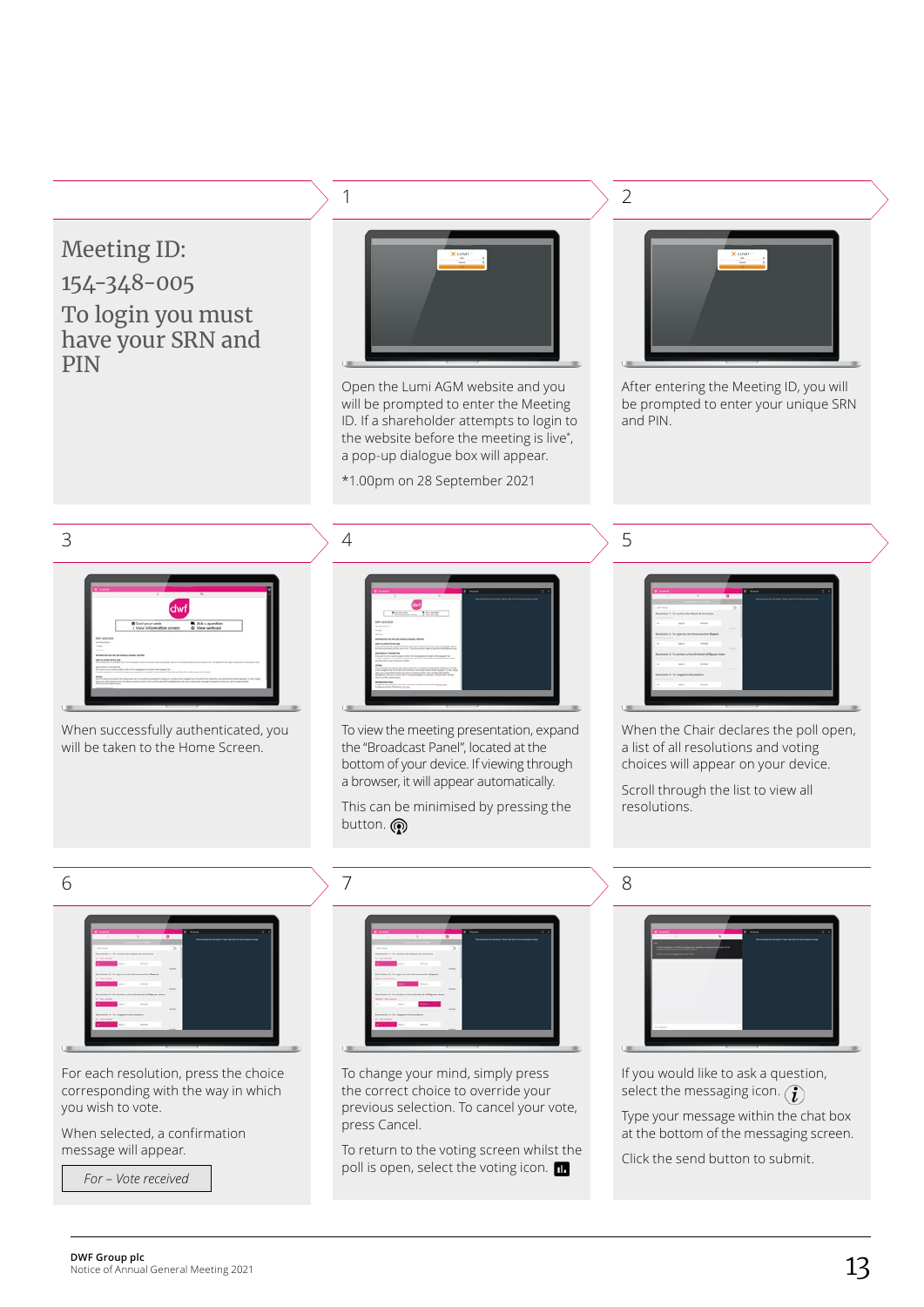# Meeting ID: 154-348-005 To login you must have your SRN and PIN 3 When successfully authenticated, you will be taken to the Home Screen. 6 For each resolution, press the choice corresponding with the way in which you wish to vote. When selected, a confirmation message will appear. Open the Lumi AGM website and you will be prompted to enter the Meeting ID. If a shareholder attempts to login to the website before the meeting is live\* , a pop-up dialogue box will appear. \*1.00pm on 28 September 2021 4 To view the meeting presentation, expand the "Broadcast Panel", located at the bottom of your device. If viewing through a browser, it will appear automatically. This can be minimised by pressing the button. (?) 7 To change your mind, simply press the correct choice to override your previous selection. To cancel your vote, press Cancel. After entering the Meeting ID, you will be prompted to enter your unique SRN and PIN. 5 When the Chair declares the poll open, a list of all resolutions and voting choices will appear on your device. Scroll through the list to view all resolutions. 8 If you would like to ask a question, select the messaging icon.  $(i)$ Type your message within the chat box at the bottom of the messaging screen.

2

1

To return to the voting screen whilst the poll is open, select the voting icon.

Click the send button to submit.

*For – Vote received*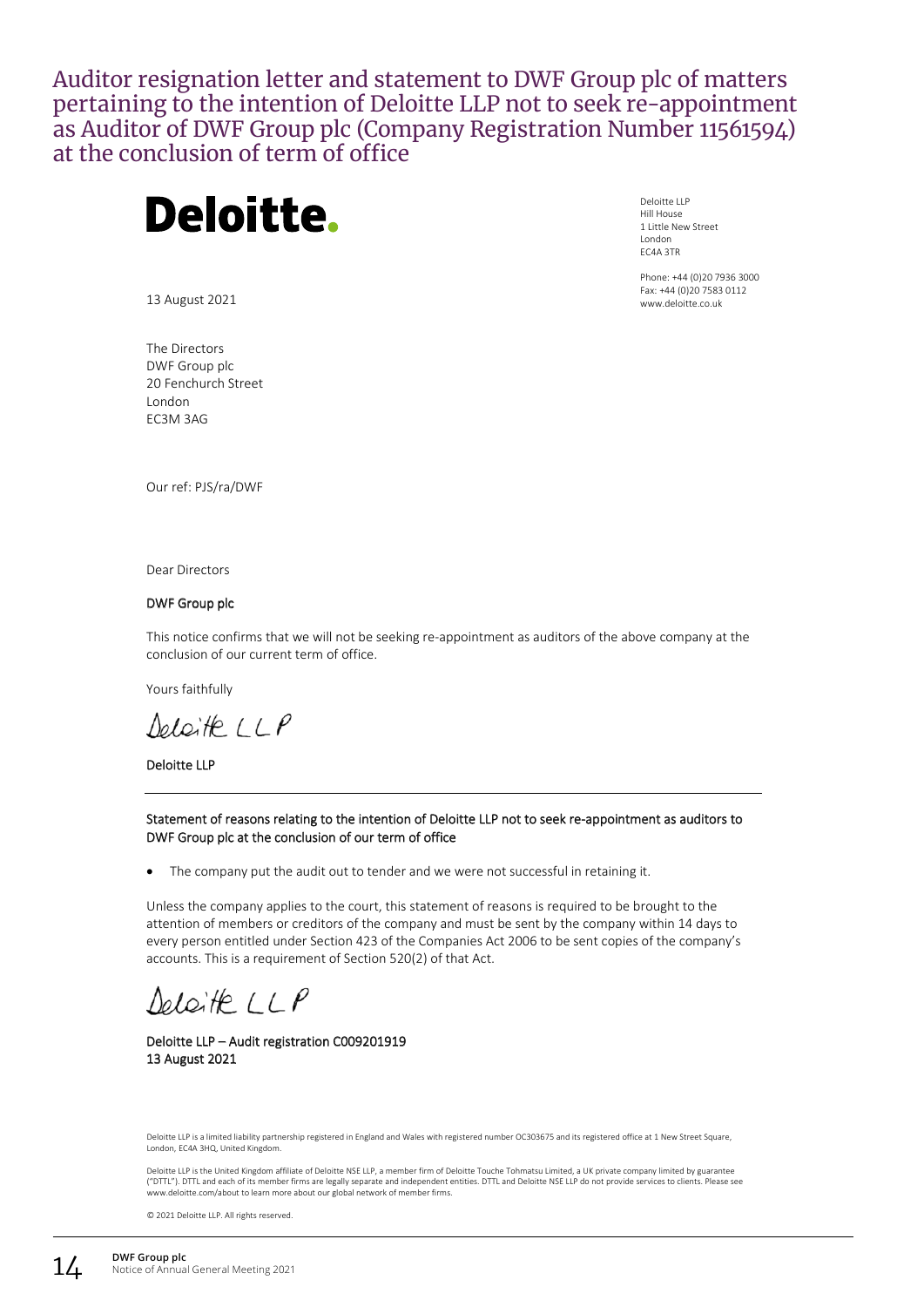Auditor resignation letter and statement to DWF Group plc of matters pertaining to the intention of Deloitte LLP not to seek re-appointment as Auditor of DWF Group plc (Company Registration Number 11561594) at the conclusion of term of office



Deloitte LLP Hill House 1 Little New Street London EC4A 3TR

Phone: +44 (0)20 7936 3000 Fax: +44 (0)20 7583 0112 www.deloitte.co.uk

13 August 2021

The Directors DWF Group plc 20 Fenchurch Street London EC3M 3AG

Our ref: PJS/ra/DWF

Dear Directors

#### DWF Group plc

This notice confirms that we will not be seeking re-appointment as auditors of the above company at the conclusion of our current term of office.

Yours faithfully

 $Aoloiff(1-\rho)$ 

Deloitte LLP

Statement of reasons relating to the intention of Deloitte LLP not to seek re-appointment as auditors to DWF Group plc at the conclusion of our term of office

The company put the audit out to tender and we were not successful in retaining it.

Unless the company applies to the court, this statement of reasons is required to be brought to the attention of members or creditors of the company and must be sent by the company within 14 days to every person entitled under Section 423 of the Companies Act 2006 to be sent copies of the company's accounts. This is a requirement of Section 520(2) of that Act.

Deloitte LLP

#### Deloitte LLP – Audit registration C009201919 13 August 2021

Deloitte LLP is a limited liability partnership registered in England and Wales with registered number OC303675 and its registered office at 1 New Street Square, London, EC4A 3HQ, United Kingdom.

Deloitte LLP is the United Kingdom affiliate of Deloitte NSE LLP, a member firm of Deloitte Touche Tohmatsu Limited, a UK private company limited by guarantee ("DTTL"). DTTL and each of its member firms are legally separate and independent entities. DTTL and Deloitte NSE LLP do not provide services to clients. Please see www.deloitte.com/about to learn more about our global network of member firms.

© 2021 Deloitte LLP. All rights reserved.